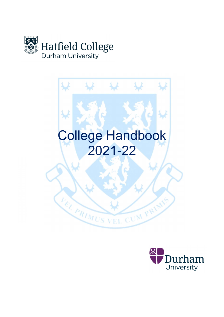



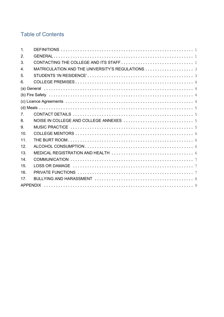# **Table of Contents**

| $\mathbf{1}$ .   |                                                  |  |  |  |  |  |
|------------------|--------------------------------------------------|--|--|--|--|--|
| 2.               |                                                  |  |  |  |  |  |
| 3.               |                                                  |  |  |  |  |  |
| $\overline{4}$ . | MATRICULATION AND THE UNIVERSITY'S REGULATIONS 3 |  |  |  |  |  |
| 5.               |                                                  |  |  |  |  |  |
| 6.               |                                                  |  |  |  |  |  |
|                  |                                                  |  |  |  |  |  |
|                  |                                                  |  |  |  |  |  |
|                  |                                                  |  |  |  |  |  |
|                  |                                                  |  |  |  |  |  |
| $7^{\circ}$      |                                                  |  |  |  |  |  |
| 8.               |                                                  |  |  |  |  |  |
| 9.               |                                                  |  |  |  |  |  |
| 10 <sub>1</sub>  |                                                  |  |  |  |  |  |
| 11.              |                                                  |  |  |  |  |  |
| 12.              |                                                  |  |  |  |  |  |
| 13.              |                                                  |  |  |  |  |  |
| 14.              |                                                  |  |  |  |  |  |
| 15.              |                                                  |  |  |  |  |  |
| 16.              |                                                  |  |  |  |  |  |
| 17.              |                                                  |  |  |  |  |  |
|                  |                                                  |  |  |  |  |  |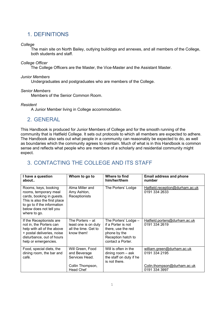# 1. DEFINITIONS

#### **College**

The main site on North Bailey, outlying buildings and annexes, and all members of the College, both students and staff.

#### College Officer

The College Officers are the Master, the Vice-Master and the Assistant Master.

#### Junior Members

Undergraduates and postgraduates who are members of the College.

#### Senior Members

Members of the Senior Common Room.

#### Resident

A Junior Member living in College accommodation.

### 2. GENERAL

This Handbook is produced for Junior Members of College and for the smooth running of the community that is Hatfield College. It sets out protocols to which all members are expected to adhere. The Handbook also sets out what people in a community can reasonably be expected to do, as well as boundaries which the community agrees to maintain. Much of what is in this Handbook is common sense and reflects what people who are members of a scholarly and residential community might expect.

# 3. CONTACTING THE COLLEGE AND ITS STAFF

| I have a question<br>about                                                                                                                                                           | Whom to go to                                                                              | Where to find<br>him/her/them                                                                                               | <b>Email address and phone</b><br>number                                                    |
|--------------------------------------------------------------------------------------------------------------------------------------------------------------------------------------|--------------------------------------------------------------------------------------------|-----------------------------------------------------------------------------------------------------------------------------|---------------------------------------------------------------------------------------------|
| Rooms, keys, booking<br>rooms, temporary meal<br>cards, booking in guests.<br>This is also the first place<br>to go to if the information<br>below does not tell you<br>where to go. | Alma Miller and<br>Amy Ashton,<br>Receptionists                                            | The Porters' Lodge                                                                                                          | Hatfield.reception@durham.ac.uk<br>0191 334 2633                                            |
| If the Receptionists are<br>not in, the Porters can<br>help with all of the above<br>+ postal deliveries, noise<br>disturbance, out of hours<br>help or emergencies.                 | The Porters – at<br>least one is on duty<br>all the time. Get to<br>know them!             | The Porters' Lodge -<br>if a Porter is not<br>there, use the red<br>phone by the<br>Reception hatch to<br>contact a Porter. | Hatfield.porters@durham.ac.uk<br>0191 334 2619                                              |
| Food, special diets, the<br>dining room, the bar and<br>café.                                                                                                                        | Will Green, Food<br>and Beverage<br>Services Head.<br>Collin Thompson,<br><b>Head Chef</b> | Will is often in the<br>dining room $-$ ask<br>the staff on duty if he<br>is not there.                                     | william.green@durham.ac.uk<br>0191 334 2195<br>Colin.thompson@durham.ac.uk<br>0191 334 3997 |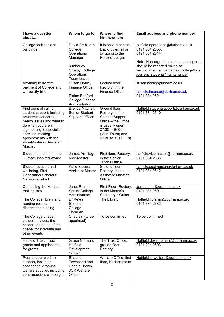| I have a question<br>about                                                                                                                                                                                                                        | Whom to go to                                                                                                           | Where to find<br>him/her/them                                                                                                                                      | <b>Email address and phone number</b>                                                                                                                                                                                      |
|---------------------------------------------------------------------------------------------------------------------------------------------------------------------------------------------------------------------------------------------------|-------------------------------------------------------------------------------------------------------------------------|--------------------------------------------------------------------------------------------------------------------------------------------------------------------|----------------------------------------------------------------------------------------------------------------------------------------------------------------------------------------------------------------------------|
| College facilities and<br>buildings                                                                                                                                                                                                               | David Embleton,<br>College<br>Operations<br>Manager<br>Kimberley<br>Crosby, College<br>Operations<br><b>Team Leader</b> | It is best to contact<br>David by email or<br>by going to the<br>Porters' Lodge.                                                                                   | hatfield.operations@durham.ac.uk<br>0191 334 2653.<br>0191 334 2614<br>Note: Non-urgent maintenance requests<br>should be reported online at:<br>www.durham.ac.uk/hatfield.college/local<br>/current students/maintenance/ |
| Anything to do with<br>payment of College and<br>University bills                                                                                                                                                                                 | Susan Noble,<br><b>Finance Officer</b><br>Elaine Bedford<br><b>College Finance</b><br>Administrator                     | Ground floor,<br>Rectory, in the<br><b>Finance Office</b>                                                                                                          | susan.noble@durham.ac.uk<br>hatfield.finance@durham.ac.uk<br>0191 334 2621                                                                                                                                                 |
| First point of call for<br>student support, including<br>academic concerns,<br>health issues and what to<br>do when you are ill,<br>signposting to specialist<br>services, making<br>appointments with the<br>Vice-Master or Assistant<br>Master. | Brenda Mitchell.<br>Senior Student<br><b>Support Officer</b>                                                            | Ground floor,<br>Rectory, in the<br><b>Student Support</b><br>Office - the Office<br>is usually open<br>$07.30 - 16.00$<br>(Mon-Thurs) and<br>07.30 to 12.00 (Fri) | Hatfield.studentsupport@durham.ac.uk<br>0191 334 2610                                                                                                                                                                      |
| Student enrichment, the<br>Durham Inspired Award                                                                                                                                                                                                  | James Armitage<br>Vice-Master                                                                                           | First floor, Rectory,<br>in the Senior<br>Tutor's Office                                                                                                           | hatfield.vicemaster@durham.ac.uk<br>0191 334 2636                                                                                                                                                                          |
| Student support and<br>wellbeing, First<br><b>Generation Scholars'</b><br>Network contact                                                                                                                                                         | Katie Stobbs,<br><b>Assistant Master</b>                                                                                | Second floor,<br>Rectory, in the<br><b>Assistant Master's</b><br>Office                                                                                            | hatfield.asstmaster@durham.ac.uk<br>0191 334 2642                                                                                                                                                                          |
| Contacting the Master,<br>mailing lists                                                                                                                                                                                                           | Janet Raine,<br>Senior College<br>Administrator                                                                         | First Floor, Rectory,<br>in the Master's<br>Secretary's Office.                                                                                                    | Janet.raine@durham.ac.uk<br>0191 334 2601                                                                                                                                                                                  |
| The College library and<br>reading rooms,<br>dissertation binding                                                                                                                                                                                 | Dr Kevin<br>Sheehan,<br>College<br>Librarian                                                                            | The Library                                                                                                                                                        | Hatfield.librarian@durham.ac.uk<br>0191 334 2632                                                                                                                                                                           |
| The College chapel;<br>chapel services; the<br>chapel choir; use of the<br>chapel for interfaith and<br>other events                                                                                                                              | Chaplain (to be<br>appointed)                                                                                           | To be confirmed                                                                                                                                                    | To be confirmed                                                                                                                                                                                                            |
| <b>Hatfield Trust, Trust</b><br>grants and applications<br>for grants                                                                                                                                                                             | Grace Norman,<br>Hatfield<br>Development<br>Officer                                                                     | The Trust Office,<br>ground floor<br>Rectory                                                                                                                       | Hatfield.development@durham.ac.uk<br>0191 224 2603                                                                                                                                                                         |
| Peer to peer welfare<br>support, including<br>confidential drop-ins,<br>welfare supplies including<br>contraception, campaigns                                                                                                                    | Shauna<br>Townsend and<br>Connie Brown,<br><b>JCR Welfare</b><br><b>Officers</b>                                        | Welfare Office, first<br>floor, Kitchen stairs                                                                                                                     | Hatfield.jcrwelfare@durham.ac.uk                                                                                                                                                                                           |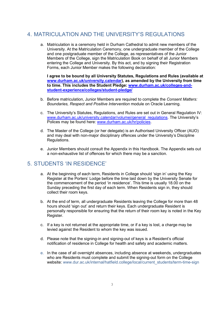# 4. MATRICULATION AND THE UNIVERSITY'S REGULATIONS

a. Matriculation is a ceremony held in Durham Cathedral to admit new members of the University. At the Matriculation Ceremony, one undergraduate member of the College and one postgraduate member of the College, as representatives of the Junior Members of the College, sign the Matriculation Book on behalf of all Junior Members entering the College and University. By this act, and by signing their Registration Forms, each Junior Member makes the following declaration:

I agree to be bound by all University Statutes, Regulations and Rules (available at www.durham.ac.uk/university.calendar), as amended by the University from time to time. This includes the Student Pledge: www.durham.ac.uk/colleges-andstudent-experience/colleges/student-pledge/

- b. Before matriculation, Junior Members are required to complete the Consent Matters: Boundaries, Respect and Positive Intervention module on Oracle Learning.
- c. The University's Statutes, Regulations, and Rules are set out in General Regulation IV: www.durham.ac.uk/university.calendar/volumei/general\_regulations. The University's Polices may be found here: www.durham.ac.uk/hr/policies.
- d. The Master of the College (or her delegate) is an Authorised University Officer (AUO) and may deal with non-major disciplinary offences under the University's Discipline Regulations.
- e. Junior Members should consult the Appendix in this Handbook. The Appendix sets out a non-exhaustive list of offences for which there may be a sanction.

### 5. STUDENTS 'IN RESIDENCE'

- a. At the beginning of each term, Residents in College should 'sign in' using the Key Register at the Porters' Lodge before the time laid down by the University Senate for the commencement of the period 'in residence'. This time is usually 18.00 on the Sunday preceding the first day of each term. When Residents sign in, they should collect their room keys.
- b. At the end of term, all undergraduate Residents leaving the College for more than 48 hours should 'sign out' and return their keys. Each undergraduate Resident is personally responsible for ensuring that the return of their room key is noted in the Key Register.
- c. If a key is not returned at the appropriate time, or if a key is lost, a charge may be levied against the Resident to whom the key was issued.
- d. Please note that the signing-in and signing-out of keys is a Resident's official notification of residence in College for health and safety and academic matters.
- e. In the case of all overnight absences, including absence at weekends, undergraduates who are Residents must complete and submit the signing-out form on the College website: www.dur.ac.uk/internal/hatfield.college/local/current\_students/term-time-sign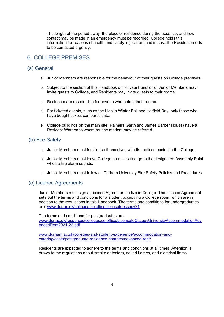The length of the period away, the place of residence during the absence, and how contact may be made in an emergency must be recorded. College holds this information for reasons of health and safety legislation, and in case the Resident needs to be contacted urgently.

### 6. COLLEGE PREMISES

#### (a) General

- a. Junior Members are responsible for the behaviour of their guests on College premises.
- b. Subject to the section of this Handbook on 'Private Functions', Junior Members may invite guests to College, and Residents may invite guests to their rooms.
- c. Residents are responsible for anyone who enters their rooms.
- d. For ticketed events, such as the Lion in Winter Ball and Hatfield Day, only those who have bought tickets can participate.
- e. College buildings off the main site (Palmers Garth and James Barber House) have a Resident Warden to whom routine matters may be referred.

### (b) Fire Safety

- a. Junior Members must familiarise themselves with fire notices posted in the College.
- b. Junior Members must leave College premises and go to the designated Assembly Point when a fire alarm sounds.
- c. Junior Members must follow all Durham University Fire Safety Policies and Procedures

#### (c) Licence Agreements

Junior Members must sign a Licence Agreement to live in College. The Licence Agreement sets out the terms and conditions for a student occupying a College room, which are in addition to the regulations in this Handbook. The terms and conditions for undergraduates are: www.dur.ac.uk/colleges.se.office/licencetooccupy21

The terms and conditions for postgraduates are: www.dur.ac.uk/resources/colleges.se.office/LicencetoOccupyUniversityAccommodationAdv ancedRent2021-22.pdf

www.durham.ac.uk/colleges-and-student-experience/accommodation-andcatering/costs/postgraduate-residence-charges/advanced-rent/

Residents are expected to adhere to the terms and conditions at all times. Attention is drawn to the regulations about smoke detectors, naked flames, and electrical items.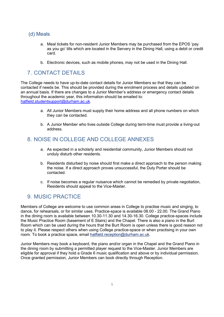### (d) Meals

- a. Meal tickets for non-resident Junior Members may be purchased from the EPOS 'pay as you go' tills which are located in the Servery in the Dining Hall, using a debit or credit card.
- b. Electronic devices, such as mobile phones, may not be used in the Dining Hall.

# 7. CONTACT DETAILS

The College needs to have up-to-date contact details for Junior Members so that they can be contacted if needs be. This should be provided during the enrolment process and details updated on an annual basis. If there are changes to a Junior Member's address or emergency contact details throughout the academic year, this information should be emailed to: hatfield.studentsupport@durham.ac.uk.

- a. All Junior Members must supply their home address and all phone numbers on which they can be contacted.
- b. A Junior Member who lives outside College during term-time must provide a living-out address.

### 8. NOISE IN COLLEGE AND COLLEGE ANNEXES

- a. As expected in a scholarly and residential community, Junior Members should not unduly disturb other residents.
- b. Residents disturbed by noise should first make a direct approach to the person making the noise. If a direct approach proves unsuccessful, the Duty Porter should be contacted.
- c. If noise becomes a regular nuisance which cannot be remedied by private negotiation, Residents should appeal to the Vice-Master.

# 9. MUSIC PRACTICE

Members of College are welcome to use common areas in College to practise music and singing, to dance, for rehearsals, or for similar uses. Practice-space is available 08.00 - 22.00. The Grand Piano in the dining room is available between 10.30-11.30 and 14.30-16.30. College practice-spaces include the Music Practice Room (basement of E Stairs) and the Chapel. There is also a piano in the Burt Room which can be used during the hours that the Burt Room is open unless there is good reason not to play it. Please respect others when using College practice-space or when practising in your own room. To book a practice space, email hatfield.reception@durham.ac.uk.

Junior Members may book a keyboard, the piano and/or organ in the Chapel and the Grand Piano in the dining room by submitting a permitted player request to the Vice-Master. Junior Members are eligible for approval if they hold a Grade 6 music qualification and above or by individual permission. Once granted permission, Junior Members can book directly through Reception.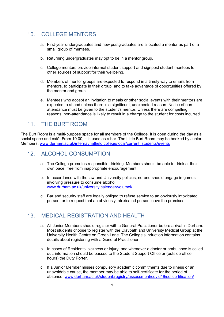### 10. COLLEGE MENTORS

- a. First-year undergraduates and new postgraduates are allocated a mentor as part of a small group of mentees.
- b. Returning undergraduates may opt to be in a mentor group.
- c. College mentors provide informal student support and signpost student mentees to other sources of support for their wellbeing.
- d. Members of mentor groups are expected to respond in a timely way to emails from mentors, to participate in their group, and to take advantage of opportunities offered by the mentor and group.
- e. Mentees who accept an invitation to meals or other social events with their mentors are expected to attend unless there is a significant, unexpected reason. Notice of nonattendance must be given to the student's mentor. Unless there are compelling reasons, non-attendance is likely to result in a charge to the student for costs incurred.

### 11. THE BURT ROOM

The Burt Room is a multi-purpose space for all members of the College. It is open during the day as a social space and café. From 19.00, it is used as a bar. The Little Burt Room may be booked by Junior Members: www.durham.ac.uk/internal/hatfield.college/local/current\_students/events

### 12. ALCOHOL CONSUMPTION

- a. The College promotes responsible drinking. Members should be able to drink at their own pace, free from inappropriate encouragement.
- b. In accordance with the law and University policies, no-one should engage in games involving pressure to consume alcohol www.durham.ac.uk/university.calendar/volumei/
- c. Bar and security staff are legally obliged to refuse service to an obviously intoxicated person, or to request that an obviously intoxicated person leave the premises.

### 13. MEDICAL REGISTRATION AND HEALTH

- a. All Junior Members should register with a General Practitioner before arrival in Durham. Most students choose to register with the Claypath and University Medical Group at the University Health Centre on Green Lane. The College's induction information contains details about registering with a General Practitioner.
- b. In cases of Residents' sickness or injury, and whenever a doctor or ambulance is called out, information should be passed to the Student Support Office or (outside office hours) the Duty Porter.
- c. If a Junior Member misses compulsory academic commitments due to illness or an unavoidable cause, the member may be able to self-certificate for the period of absence: www.durham.ac.uk/student.registry/assessment/covid19/selfcertification/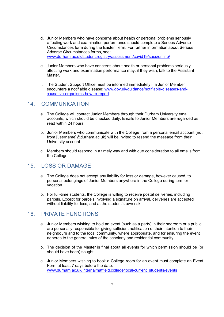- d. Junior Members who have concerns about health or personal problems seriously affecting work and examination performance should complete a Serious Adverse Circumstances form during the Easter Term. For further information about Serious Adverse Circumstances forms, see: www.durham.ac.uk/student.registry/assessment/covid19/sacs/online/
- e. Junior Members who have concerns about health or personal problems seriously affecting work and examination performance may, if they wish, talk to the Assistant Master.
- f. The Student Support Office must be informed immediately if a Junior Member encounters a notifiable disease: www.gov.uk/guidance/notifiable-diseases-andcausative-organisms-how-to-report

#### 14. COMMUNICATION

- a. The College will contact Junior Members through their Durham University email accounts, which should be checked daily. Emails to Junior Members are regarded as read within 24 hours.
- b. Junior Members who communicate with the College from a personal email account (not from [username]@durham.ac.uk) will be invited to resend the message from their University account.
- c. Members should respond in a timely way and with due consideration to all emails from the College.

### 15. LOSS OR DAMAGE

- a. The College does not accept any liability for loss or damage, however caused, to personal belongings of Junior Members anywhere in the College during term or vacation.
- b. For full-time students, the College is willing to receive postal deliveries, including parcels. Except for parcels involving a signature on arrival, deliveries are accepted without liability for loss, and at the student's own risk.

### 16. PRIVATE FUNCTIONS

- a. Junior Members wishing to hold an event (such as a party) in their bedroom or a public are personally responsible for giving sufficient notification of their intention to their neighbours and to the local community, where appropriate, and for ensuring the event adheres to the general rules of the scholarly and residential community.
- b. The decision of the Master is final about all events for which permission should be (or should have been) sought.
- c. Junior Members wishing to book a College room for an event must complete an Event Form at least 7 days before the date: www.durham.ac.uk/internal/hatfield.college/local/current\_students/events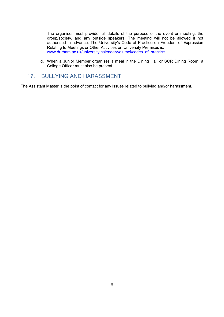The organiser must provide full details of the purpose of the event or meeting, the group/society, and any outside speakers. The meeting will not be allowed if not authorised in advance. The University's Code of Practice on Freedom of Expression Relating to Meetings or Other Activities on University Premises is: www.durham.ac.uk/university.calendar/volumei/codes\_of\_practice.

d. When a Junior Member organises a meal in the Dining Hall or SCR Dining Room, a College Officer must also be present.

### 17. BULLYING AND HARASSMENT

The Assistant Master is the point of contact for any issues related to bullying and/or harassment.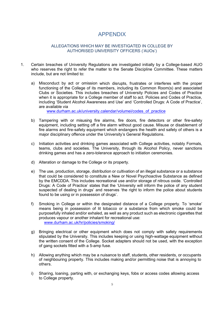### APPENDIX

#### ALLEGATIONS WHICH MAY BE INVESTIGATED IN COLLEGE BY AUTHORISED UNIVERSITY OFFICERS ('AUOs')

- 1. Certain breaches of University Regulations are investigated initially by a College-based AUO who reserves the right to refer the matter to the Senate Discipline Committee. These matters include, but are not limited to:
	- a) Misconduct by act or omission which disrupts, frustrates or interferes with the proper functioning of the College of its members, including its Common Room(s) and associated Clubs or Societies. This includes breaches of University Policies and Codes of Practice when it is appropriate for a College member of staff to act. Policies and Codes of Practice, including 'Student Alcohol Awareness and Use' and 'Controlled Drugs: A Code of Practice', are available via

www.durham.ac.uk/university.calendar/volumei/codes\_of\_practice

- b) Tampering with or misusing fire alarms, fire doors, fire detectors or other fire-safety equipment, including setting off a fire alarm without good cause. Misuse or disablement of fire alarms and fire-safety equipment which endangers the health and safety of others is a major disciplinary offence under the University's General Regulations.
- c) Initiation activities and drinking games associated with College activities, notably Formals, teams, clubs and societies. The University, through its Alcohol Policy, never sanctions drinking games and has a zero-tolerance approach to initiation ceremonies.
- d) Alteration or damage to the College or its property.
- e) The use, production, storage, distribution or cultivation of an illegal substance or a substance that could be considered to constitute a New or Novel Psychoactive Substance as defined by the EMCDDA. This includes recreational use and/or storage of nitrous oxide. 'Controlled Drugs: A Code of Practice' states that the 'University will inform the police of any student suspected of dealing in drugs' and reserves 'the right to inform the police about students found to be using or in possession of drugs'.
- f) Smoking in College or within the designated distance of a College property. To 'smoke' means being in possession of lit tobacco or a substance from which smoke could be purposefully inhaled and/or exhaled, as well as any product such as electronic cigarettes that produces vapour or another inhalant for recreational use: www.durham.ac.uk/hr/policies/smoking/
- g) Bringing electrical or other equipment which does not comply with safety requirements stipulated by the University. This includes keeping or using high-wattage equipment without the written consent of the College. Socket adapters should not be used, with the exception of gang sockets fitted with a 5-amp fuse.
- h) Allowing anything which may be a nuisance to staff, students, other residents, or occupants of neighbouring property. This includes making and/or permitting noise that is annoying to others.
- i) Sharing, loaning, parting with, or exchanging keys, fobs or access codes allowing access to College property.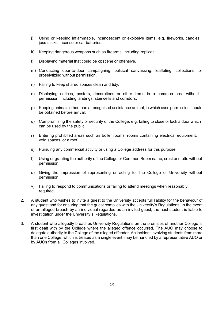- j) Using or keeping inflammable, incandescent or explosive items, e.g. fireworks, candles, joss-sticks, incense or car batteries.
- k) Keeping dangerous weapons such as firearms, including replicas.
- l) Displaying material that could be obscene or offensive.
- m) Conducting door-to-door campaigning, political canvassing, leafleting, collections, or proselytizing without permission.
- n) Failing to keep shared spaces clean and tidy.
- o) Displaying notices, posters, decorations or other items in a common area without permission, including landings, stairwells and corridors.
- p) Keeping animals other than a recognised assistance animal, in which case permission should be obtained before arrival.
- q) Compromising the safety or security of the College, e.g. failing to close or lock a door which can be used by the public.
- r) Entering prohibited areas such as boiler rooms, rooms containing electrical equipment, void spaces, or a roof.
- s) Pursuing any commercial activity or using a College address for this purpose.
- t) Using or granting the authority of the College or Common Room name, crest or motto without permission.
- u) Giving the impression of representing or acting for the College or University without permission.
- v) Failing to respond to communications or failing to attend meetings when reasonably required.
- 2. A student who wishes to invite a guest to the University accepts full liability for the behaviour of any guest and for ensuring that the guest complies with the University's Regulations. In the event of an alleged breach by an individual regarded as an invited guest, the host student is liable to investigation under the University's Regulations.
- 3. A student who allegedly breaches University Regulations on the premises of another College is first dealt with by the College where the alleged offence occurred. The AUO may choose to delegate authority to the College of the alleged offender. An incident involving students from more than one College, which is treated as a single event, may be handled by a representative AUO or by AUOs from all Colleges involved.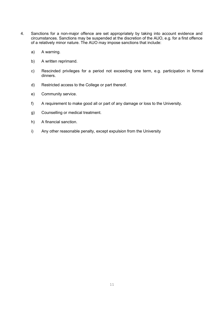- 4. Sanctions for a non-major offence are set appropriately by taking into account evidence and circumstances. Sanctions may be suspended at the discretion of the AUO, e.g. for a first offence of a relatively minor nature. The AUO may impose sanctions that include:
	- a) A warning.
	- b) A written reprimand.
	- c) Rescinded privileges for a period not exceeding one term, e.g. participation in formal dinners.
	- d) Restricted access to the College or part thereof.
	- e) Community service.
	- f) A requirement to make good all or part of any damage or loss to the University.
	- g) Counselling or medical treatment.
	- h) A financial sanction.
	- i) Any other reasonable penalty, except expulsion from the University